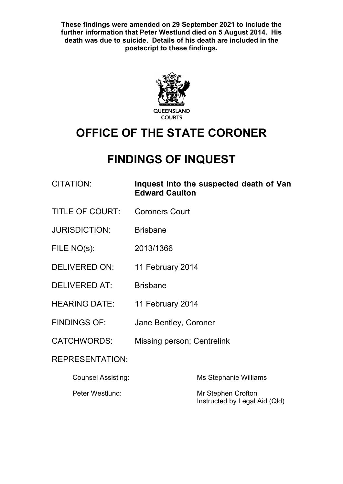**These findings were amended on 29 September 2021 to include the further information that Peter Westlund died on 5 August 2014. His death was due to suicide. Details of his death are included in the postscript to these findings.**



# **OFFICE OF THE STATE CORONER**

# **FINDINGS OF INQUEST**

| CITATION:              | Inquest into the suspected death of Van<br><b>Edward Caulton</b> |
|------------------------|------------------------------------------------------------------|
| <b>TITLE OF COURT:</b> | <b>Coroners Court</b>                                            |
| <b>JURISDICTION:</b>   | <b>Brisbane</b>                                                  |
| FILE $NO(s)$ :         | 2013/1366                                                        |
| <b>DELIVERED ON:</b>   | 11 February 2014                                                 |
| <b>DELIVERED AT:</b>   | <b>Brisbane</b>                                                  |
| <b>HEARING DATE:</b>   | 11 February 2014                                                 |
| <b>FINDINGS OF:</b>    | Jane Bentley, Coroner                                            |
| <b>CATCHWORDS:</b>     | Missing person; Centrelink                                       |
| <b>REPRESENTATION:</b> |                                                                  |

| Counsel Assisting: | Ms Stephanie Williams                               |
|--------------------|-----------------------------------------------------|
| Peter Westlund:    | Mr Stephen Crofton<br>Instructed by Legal Aid (Qld) |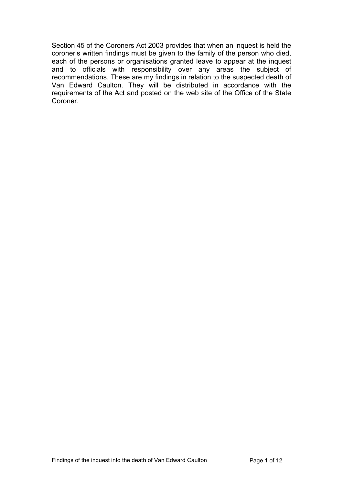Section 45 of the Coroners Act 2003 provides that when an inquest is held the coroner's written findings must be given to the family of the person who died, each of the persons or organisations granted leave to appear at the inquest and to officials with responsibility over any areas the subject of recommendations. These are my findings in relation to the suspected death of Van Edward Caulton. They will be distributed in accordance with the requirements of the Act and posted on the web site of the Office of the State Coroner.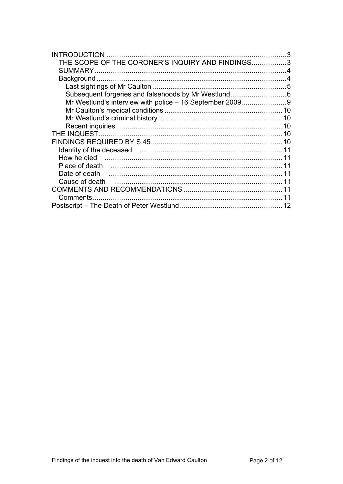| <b>INTRODUCTION</b>                                                                                    | 3 |
|--------------------------------------------------------------------------------------------------------|---|
| THE SCOPE OF THE CORONER'S INQUIRY AND FINDINGS3                                                       |   |
|                                                                                                        |   |
|                                                                                                        |   |
|                                                                                                        |   |
|                                                                                                        |   |
| Mr Westlund's interview with police - 16 September 20099                                               |   |
|                                                                                                        |   |
|                                                                                                        |   |
|                                                                                                        |   |
|                                                                                                        |   |
|                                                                                                        |   |
| Identity of the deceased manufactured contains and the deceased manufactured contains and the deceased |   |
|                                                                                                        |   |
|                                                                                                        |   |
|                                                                                                        |   |
|                                                                                                        |   |
|                                                                                                        |   |
|                                                                                                        |   |
|                                                                                                        |   |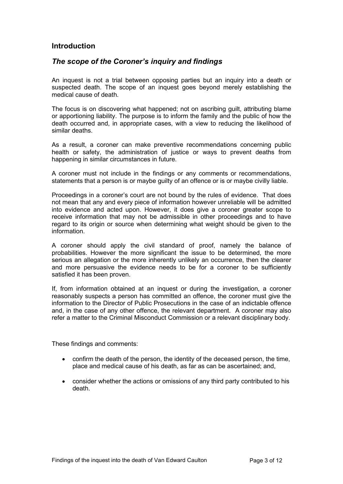## <span id="page-3-0"></span>**Introduction**

## <span id="page-3-1"></span>*The scope of the Coroner's inquiry and findings*

An inquest is not a trial between opposing parties but an inquiry into a death or suspected death. The scope of an inquest goes beyond merely establishing the medical cause of death.

The focus is on discovering what happened; not on ascribing guilt, attributing blame or apportioning liability. The purpose is to inform the family and the public of how the death occurred and, in appropriate cases, with a view to reducing the likelihood of similar deaths.

As a result, a coroner can make preventive recommendations concerning public health or safety, the administration of justice or ways to prevent deaths from happening in similar circumstances in future.

A coroner must not include in the findings or any comments or recommendations, statements that a person is or maybe guilty of an offence or is or maybe civilly liable.

Proceedings in a coroner's court are not bound by the rules of evidence. That does not mean that any and every piece of information however unreliable will be admitted into evidence and acted upon. However, it does give a coroner greater scope to receive information that may not be admissible in other proceedings and to have regard to its origin or source when determining what weight should be given to the information.

A coroner should apply the civil standard of proof, namely the balance of probabilities. However the more significant the issue to be determined, the more serious an allegation or the more inherently unlikely an occurrence, then the clearer and more persuasive the evidence needs to be for a coroner to be sufficiently satisfied it has been proven.

If, from information obtained at an inquest or during the investigation, a coroner reasonably suspects a person has committed an offence, the coroner must give the information to the Director of Public Prosecutions in the case of an indictable offence and, in the case of any other offence, the relevant department. A coroner may also refer a matter to the Criminal Misconduct Commission or a relevant disciplinary body.

These findings and comments:

- confirm the death of the person, the identity of the deceased person, the time, place and medical cause of his death, as far as can be ascertained; and,
- consider whether the actions or omissions of any third party contributed to his death.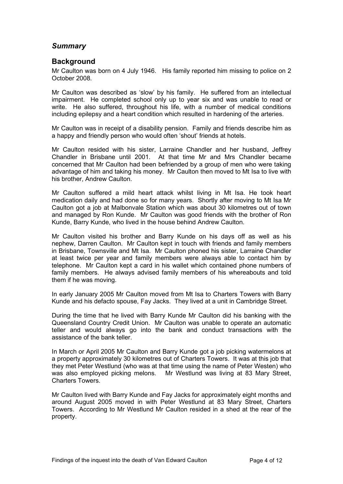## <span id="page-4-0"></span>*Summary*

## <span id="page-4-1"></span>**Background**

Mr Caulton was born on 4 July 1946. His family reported him missing to police on 2 October 2008.

Mr Caulton was described as 'slow' by his family. He suffered from an intellectual impairment. He completed school only up to year six and was unable to read or write. He also suffered, throughout his life, with a number of medical conditions including epilepsy and a heart condition which resulted in hardening of the arteries.

Mr Caulton was in receipt of a disability pension. Family and friends describe him as a happy and friendly person who would often 'shout' friends at hotels.

Mr Caulton resided with his sister, Larraine Chandler and her husband, Jeffrey Chandler in Brisbane until 2001. At that time Mr and Mrs Chandler became concerned that Mr Caulton had been befriended by a group of men who were taking advantage of him and taking his money. Mr Caulton then moved to Mt Isa to live with his brother, Andrew Caulton.

Mr Caulton suffered a mild heart attack whilst living in Mt Isa. He took heart medication daily and had done so for many years. Shortly after moving to Mt Isa Mr Caulton got a job at Malbonvale Station which was about 30 kilometres out of town and managed by Ron Kunde. Mr Caulton was good friends with the brother of Ron Kunde, Barry Kunde, who lived in the house behind Andrew Caulton.

Mr Caulton visited his brother and Barry Kunde on his days off as well as his nephew, Darren Caulton. Mr Caulton kept in touch with friends and family members in Brisbane, Townsville and Mt Isa. Mr Caulton phoned his sister, Larraine Chandler at least twice per year and family members were always able to contact him by telephone. Mr Caulton kept a card in his wallet which contained phone numbers of family members. He always advised family members of his whereabouts and told them if he was moving.

In early January 2005 Mr Caulton moved from Mt Isa to Charters Towers with Barry Kunde and his defacto spouse, Fay Jacks. They lived at a unit in Cambridge Street.

During the time that he lived with Barry Kunde Mr Caulton did his banking with the Queensland Country Credit Union. Mr Caulton was unable to operate an automatic teller and would always go into the bank and conduct transactions with the assistance of the bank teller.

In March or April 2005 Mr Caulton and Barry Kunde got a job picking watermelons at a property approximately 30 kilometres out of Charters Towers. It was at this job that they met Peter Westlund (who was at that time using the name of Peter Westen) who was also employed picking melons. Mr Westlund was living at 83 Mary Street, Charters Towers.

Mr Caulton lived with Barry Kunde and Fay Jacks for approximately eight months and around August 2005 moved in with Peter Westlund at 83 Mary Street, Charters Towers. According to Mr Westlund Mr Caulton resided in a shed at the rear of the property.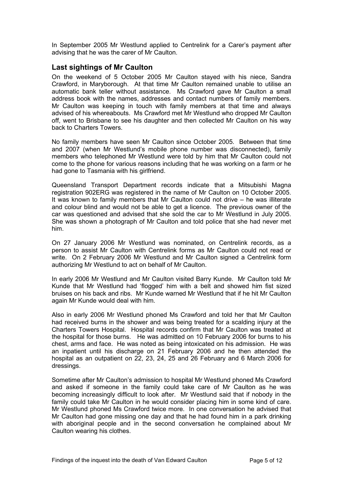In September 2005 Mr Westlund applied to Centrelink for a Carer's payment after advising that he was the carer of Mr Caulton.

### <span id="page-5-0"></span>**Last sightings of Mr Caulton**

On the weekend of 5 October 2005 Mr Caulton stayed with his niece, Sandra Crawford, in Maryborough. At that time Mr Caulton remained unable to utilise an automatic bank teller without assistance. Ms Crawford gave Mr Caulton a small address book with the names, addresses and contact numbers of family members. Mr Caulton was keeping in touch with family members at that time and always advised of his whereabouts. Ms Crawford met Mr Westlund who dropped Mr Caulton off, went to Brisbane to see his daughter and then collected Mr Caulton on his way back to Charters Towers.

No family members have seen Mr Caulton since October 2005. Between that time and 2007 (when Mr Westlund's mobile phone number was disconnected), family members who telephoned Mr Westlund were told by him that Mr Caulton could not come to the phone for various reasons including that he was working on a farm or he had gone to Tasmania with his girlfriend.

Queensland Transport Department records indicate that a Mitsubishi Magna registration 902ERG was registered in the name of Mr Caulton on 10 October 2005. It was known to family members that Mr Caulton could not drive – he was illiterate and colour blind and would not be able to get a licence. The previous owner of the car was questioned and advised that she sold the car to Mr Westlund in July 2005. She was shown a photograph of Mr Caulton and told police that she had never met him.

On 27 January 2006 Mr Westlund was nominated, on Centrelink records, as a person to assist Mr Caulton with Centrelink forms as Mr Caulton could not read or write. On 2 February 2006 Mr Westlund and Mr Caulton signed a Centrelink form authorizing Mr Westlund to act on behalf of Mr Caulton.

In early 2006 Mr Westlund and Mr Caulton visited Barry Kunde. Mr Caulton told Mr Kunde that Mr Westlund had 'flogged' him with a belt and showed him fist sized bruises on his back and ribs. Mr Kunde warned Mr Westlund that if he hit Mr Caulton again Mr Kunde would deal with him.

Also in early 2006 Mr Westlund phoned Ms Crawford and told her that Mr Caulton had received burns in the shower and was being treated for a scalding injury at the Charters Towers Hospital. Hospital records confirm that Mr Caulton was treated at the hospital for those burns. He was admitted on 10 February 2006 for burns to his chest, arms and face. He was noted as being intoxicated on his admission. He was an inpatient until his discharge on 21 February 2006 and he then attended the hospital as an outpatient on 22, 23, 24, 25 and 26 February and 6 March 2006 for dressings.

Sometime after Mr Caulton's admission to hospital Mr Westlund phoned Ms Crawford and asked if someone in the family could take care of Mr Caulton as he was becoming increasingly difficult to look after. Mr Westlund said that if nobody in the family could take Mr Caulton in he would consider placing him in some kind of care. Mr Westlund phoned Ms Crawford twice more. In one conversation he advised that Mr Caulton had gone missing one day and that he had found him in a park drinking with aboriginal people and in the second conversation he complained about Mr Caulton wearing his clothes.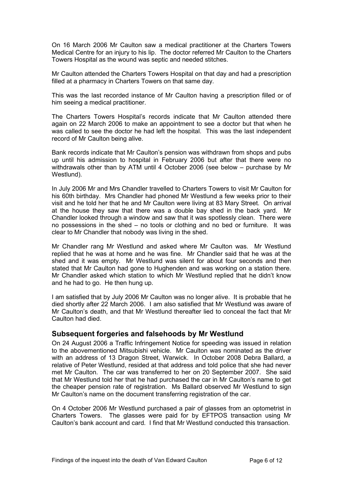On 16 March 2006 Mr Caulton saw a medical practitioner at the Charters Towers Medical Centre for an injury to his lip. The doctor referred Mr Caulton to the Charters Towers Hospital as the wound was septic and needed stitches.

Mr Caulton attended the Charters Towers Hospital on that day and had a prescription filled at a pharmacy in Charters Towers on that same day.

This was the last recorded instance of Mr Caulton having a prescription filled or of him seeing a medical practitioner.

The Charters Towers Hospital's records indicate that Mr Caulton attended there again on 22 March 2006 to make an appointment to see a doctor but that when he was called to see the doctor he had left the hospital. This was the last independent record of Mr Caulton being alive.

Bank records indicate that Mr Caulton's pension was withdrawn from shops and pubs up until his admission to hospital in February 2006 but after that there were no withdrawals other than by ATM until 4 October 2006 (see below – purchase by Mr Westlund).

In July 2006 Mr and Mrs Chandler travelled to Charters Towers to visit Mr Caulton for his 60th birthday. Mrs Chandler had phoned Mr Westlund a few weeks prior to their visit and he told her that he and Mr Caulton were living at 83 Mary Street. On arrival at the house they saw that there was a double bay shed in the back yard. Mr Chandler looked through a window and saw that it was spotlessly clean. There were no possessions in the shed – no tools or clothing and no bed or furniture. It was clear to Mr Chandler that nobody was living in the shed.

Mr Chandler rang Mr Westlund and asked where Mr Caulton was. Mr Westlund replied that he was at home and he was fine. Mr Chandler said that he was at the shed and it was empty. Mr Westlund was silent for about four seconds and then stated that Mr Caulton had gone to Hughenden and was working on a station there. Mr Chandler asked which station to which Mr Westlund replied that he didn't know and he had to go. He then hung up.

I am satisfied that by July 2006 Mr Caulton was no longer alive. It is probable that he died shortly after 22 March 2006. I am also satisfied that Mr Westlund was aware of Mr Caulton's death, and that Mr Westlund thereafter lied to conceal the fact that Mr Caulton had died.

### <span id="page-6-0"></span>**Subsequent forgeries and falsehoods by Mr Westlund**

On 24 August 2006 a Traffic Infringement Notice for speeding was issued in relation to the abovementioned Mitsubishi vehicle. Mr Caulton was nominated as the driver with an address of 13 Dragon Street, Warwick. In October 2008 Debra Ballard, a relative of Peter Westlund, resided at that address and told police that she had never met Mr Caulton. The car was transferred to her on 20 September 2007. She said that Mr Westlund told her that he had purchased the car in Mr Caulton's name to get the cheaper pension rate of registration. Ms Ballard observed Mr Westlund to sign Mr Caulton's name on the document transferring registration of the car.

On 4 October 2006 Mr Westlund purchased a pair of glasses from an optometrist in Charters Towers. The glasses were paid for by EFTPOS transaction using Mr Caulton's bank account and card. I find that Mr Westlund conducted this transaction.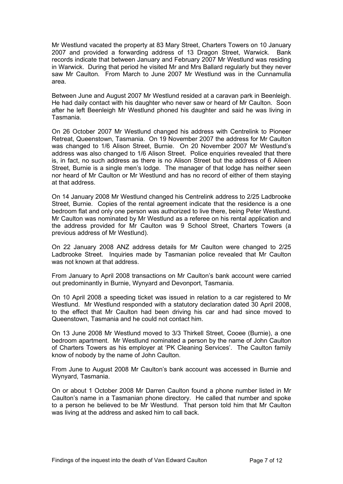Mr Westlund vacated the property at 83 Mary Street, Charters Towers on 10 January 2007 and provided a forwarding address of 13 Dragon Street, Warwick. Bank records indicate that between January and February 2007 Mr Westlund was residing in Warwick. During that period he visited Mr and Mrs Ballard regularly but they never saw Mr Caulton. From March to June 2007 Mr Westlund was in the Cunnamulla area.

Between June and August 2007 Mr Westlund resided at a caravan park in Beenleigh. He had daily contact with his daughter who never saw or heard of Mr Caulton. Soon after he left Beenleigh Mr Westlund phoned his daughter and said he was living in Tasmania.

On 26 October 2007 Mr Westlund changed his address with Centrelink to Pioneer Retreat, Queenstown, Tasmania. On 19 November 2007 the address for Mr Caulton was changed to 1/6 Alison Street, Burnie. On 20 November 2007 Mr Westlund's address was also changed to 1/6 Alison Street. Police enquiries revealed that there is, in fact, no such address as there is no Alison Street but the address of 6 Aileen Street, Burnie is a single men's lodge. The manager of that lodge has neither seen nor heard of Mr Caulton or Mr Westlund and has no record of either of them staying at that address.

On 14 January 2008 Mr Westlund changed his Centrelink address to 2/25 Ladbrooke Street, Burnie. Copies of the rental agreement indicate that the residence is a one bedroom flat and only one person was authorized to live there, being Peter Westlund. Mr Caulton was nominated by Mr Westlund as a referee on his rental application and the address provided for Mr Caulton was 9 School Street, Charters Towers (a previous address of Mr Westlund).

On 22 January 2008 ANZ address details for Mr Caulton were changed to 2/25 Ladbrooke Street. Inquiries made by Tasmanian police revealed that Mr Caulton was not known at that address.

From January to April 2008 transactions on Mr Caulton's bank account were carried out predominantly in Burnie, Wynyard and Devonport, Tasmania.

On 10 April 2008 a speeding ticket was issued in relation to a car registered to Mr Westlund. Mr Westlund responded with a statutory declaration dated 30 April 2008, to the effect that Mr Caulton had been driving his car and had since moved to Queenstown, Tasmania and he could not contact him.

On 13 June 2008 Mr Westlund moved to 3/3 Thirkell Street, Cooee (Burnie), a one bedroom apartment. Mr Westlund nominated a person by the name of John Caulton of Charters Towers as his employer at 'PK Cleaning Services'. The Caulton family know of nobody by the name of John Caulton.

From June to August 2008 Mr Caulton's bank account was accessed in Burnie and Wynyard, Tasmania.

On or about 1 October 2008 Mr Darren Caulton found a phone number listed in Mr Caulton's name in a Tasmanian phone directory. He called that number and spoke to a person he believed to be Mr Westlund. That person told him that Mr Caulton was living at the address and asked him to call back.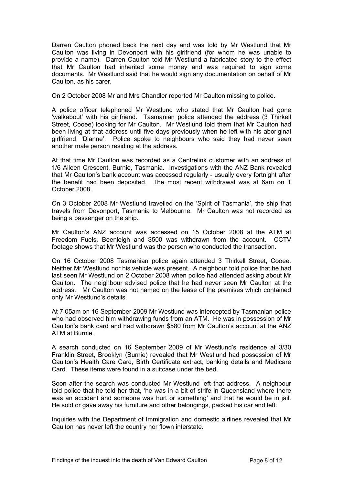Darren Caulton phoned back the next day and was told by Mr Westlund that Mr Caulton was living in Devonport with his girlfriend (for whom he was unable to provide a name). Darren Caulton told Mr Westlund a fabricated story to the effect that Mr Caulton had inherited some money and was required to sign some documents. Mr Westlund said that he would sign any documentation on behalf of Mr Caulton, as his carer.

On 2 October 2008 Mr and Mrs Chandler reported Mr Caulton missing to police.

A police officer telephoned Mr Westlund who stated that Mr Caulton had gone 'walkabout' with his girlfriend. Tasmanian police attended the address (3 Thirkell Street, Cooee) looking for Mr Caulton. Mr Westlund told them that Mr Caulton had been living at that address until five days previously when he left with his aboriginal girlfriend, 'Dianne'. Police spoke to neighbours who said they had never seen another male person residing at the address.

At that time Mr Caulton was recorded as a Centrelink customer with an address of 1/6 Aileen Crescent, Burnie, Tasmania. Investigations with the ANZ Bank revealed that Mr Caulton's bank account was accessed regularly - usually every fortnight after the benefit had been deposited. The most recent withdrawal was at 6am on 1 October 2008.

On 3 October 2008 Mr Westlund travelled on the 'Spirit of Tasmania', the ship that travels from Devonport, Tasmania to Melbourne. Mr Caulton was not recorded as being a passenger on the ship.

Mr Caulton's ANZ account was accessed on 15 October 2008 at the ATM at Freedom Fuels, Beenleigh and \$500 was withdrawn from the account. CCTV footage shows that Mr Westlund was the person who conducted the transaction.

On 16 October 2008 Tasmanian police again attended 3 Thirkell Street, Cooee. Neither Mr Westlund nor his vehicle was present. A neighbour told police that he had last seen Mr Westlund on 2 October 2008 when police had attended asking about Mr Caulton. The neighbour advised police that he had never seen Mr Caulton at the address. Mr Caulton was not named on the lease of the premises which contained only Mr Westlund's details.

At 7.05am on 16 September 2009 Mr Westlund was intercepted by Tasmanian police who had observed him withdrawing funds from an ATM. He was in possession of Mr Caulton's bank card and had withdrawn \$580 from Mr Caulton's account at the ANZ ATM at Burnie.

A search conducted on 16 September 2009 of Mr Westlund's residence at 3/30 Franklin Street, Brooklyn (Burnie) revealed that Mr Westlund had possession of Mr Caulton's Health Care Card, Birth Certificate extract, banking details and Medicare Card. These items were found in a suitcase under the bed.

Soon after the search was conducted Mr Westlund left that address. A neighbour told police that he told her that, 'he was in a bit of strife in Queensland where there was an accident and someone was hurt or something' and that he would be in jail. He sold or gave away his furniture and other belongings, packed his car and left.

Inquiries with the Department of Immigration and domestic airlines revealed that Mr Caulton has never left the country nor flown interstate.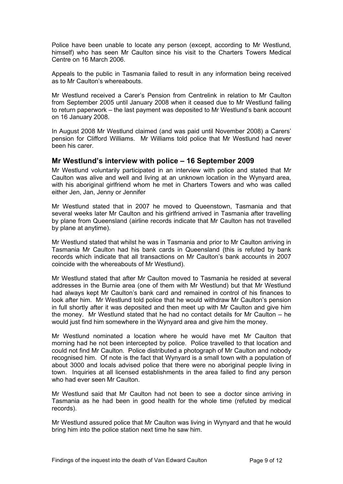Police have been unable to locate any person (except, according to Mr Westlund, himself) who has seen Mr Caulton since his visit to the Charters Towers Medical Centre on 16 March 2006.

Appeals to the public in Tasmania failed to result in any information being received as to Mr Caulton's whereabouts.

Mr Westlund received a Carer's Pension from Centrelink in relation to Mr Caulton from September 2005 until January 2008 when it ceased due to Mr Westlund failing to return paperwork – the last payment was deposited to Mr Westlund's bank account on 16 January 2008.

In August 2008 Mr Westlund claimed (and was paid until November 2008) a Carers' pension for Clifford Williams. Mr Williams told police that Mr Westlund had never been his carer.

#### <span id="page-9-0"></span>**Mr Westlund's interview with police – 16 September 2009**

Mr Westlund voluntarily participated in an interview with police and stated that Mr Caulton was alive and well and living at an unknown location in the Wynyard area, with his aboriginal girlfriend whom he met in Charters Towers and who was called either Jen, Jan, Jenny or Jennifer

Mr Westlund stated that in 2007 he moved to Queenstown, Tasmania and that several weeks later Mr Caulton and his girlfriend arrived in Tasmania after travelling by plane from Queensland (airline records indicate that Mr Caulton has not travelled by plane at anytime).

Mr Westlund stated that whilst he was in Tasmania and prior to Mr Caulton arriving in Tasmania Mr Caulton had his bank cards in Queensland (this is refuted by bank records which indicate that all transactions on Mr Caulton's bank accounts in 2007 coincide with the whereabouts of Mr Westlund).

Mr Westlund stated that after Mr Caulton moved to Tasmania he resided at several addresses in the Burnie area (one of them with Mr Westlund) but that Mr Westlund had always kept Mr Caulton's bank card and remained in control of his finances to look after him. Mr Westlund told police that he would withdraw Mr Caulton's pension in full shortly after it was deposited and then meet up with Mr Caulton and give him the money. Mr Westlund stated that he had no contact details for Mr Caulton – he would just find him somewhere in the Wynyard area and give him the money.

Mr Westlund nominated a location where he would have met Mr Caulton that morning had he not been intercepted by police. Police travelled to that location and could not find Mr Caulton. Police distributed a photograph of Mr Caulton and nobody recognised him. Of note is the fact that Wynyard is a small town with a population of about 3000 and locals advised police that there were no aboriginal people living in town. Inquiries at all licensed establishments in the area failed to find any person who had ever seen Mr Caulton.

Mr Westlund said that Mr Caulton had not been to see a doctor since arriving in Tasmania as he had been in good health for the whole time (refuted by medical records).

Mr Westlund assured police that Mr Caulton was living in Wynyard and that he would bring him into the police station next time he saw him.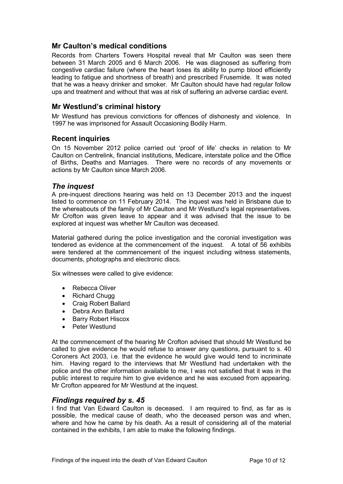## <span id="page-10-0"></span>**Mr Caulton's medical conditions**

Records from Charters Towers Hospital reveal that Mr Caulton was seen there between 31 March 2005 and 6 March 2006. He was diagnosed as suffering from congestive cardiac failure (where the heart loses its ability to pump blood efficiently leading to fatigue and shortness of breath) and prescribed Frusemide. It was noted that he was a heavy drinker and smoker. Mr Caulton should have had regular follow ups and treatment and without that was at risk of suffering an adverse cardiac event.

## <span id="page-10-1"></span>**Mr Westlund's criminal history**

Mr Westlund has previous convictions for offences of dishonesty and violence. In 1997 he was imprisoned for Assault Occasioning Bodily Harm.

### <span id="page-10-2"></span>**Recent inquiries**

On 15 November 2012 police carried out 'proof of life' checks in relation to Mr Caulton on Centrelink, financial institutions, Medicare, interstate police and the Office of Births, Deaths and Marriages. There were no records of any movements or actions by Mr Caulton since March 2006.

#### <span id="page-10-3"></span>*The inquest*

A pre-inquest directions hearing was held on 13 December 2013 and the inquest listed to commence on 11 February 2014. The inquest was held in Brisbane due to the whereabouts of the family of Mr Caulton and Mr Westlund's legal representatives. Mr Crofton was given leave to appear and it was advised that the issue to be explored at inquest was whether Mr Caulton was deceased.

Material gathered during the police investigation and the coronial investigation was tendered as evidence at the commencement of the inquest. A total of 56 exhibits were tendered at the commencement of the inquest including witness statements, documents, photographs and electronic discs.

Six witnesses were called to give evidence:

- Rebecca Oliver
- Richard Chugg
- Craig Robert Ballard
- Debra Ann Ballard
- Barry Robert Hiscox
- Peter Westlund

At the commencement of the hearing Mr Crofton advised that should Mr Westlund be called to give evidence he would refuse to answer any questions, pursuant to s. 40 Coroners Act 2003, i.e. that the evidence he would give would tend to incriminate him. Having regard to the interviews that Mr Westlund had undertaken with the police and the other information available to me, I was not satisfied that it was in the public interest to require him to give evidence and he was excused from appearing. Mr Crofton appeared for Mr Westlund at the inquest.

### <span id="page-10-4"></span>*Findings required by s. 45*

I find that Van Edward Caulton is deceased. I am required to find, as far as is possible, the medical cause of death, who the deceased person was and when, where and how he came by his death. As a result of considering all of the material contained in the exhibits, I am able to make the following findings.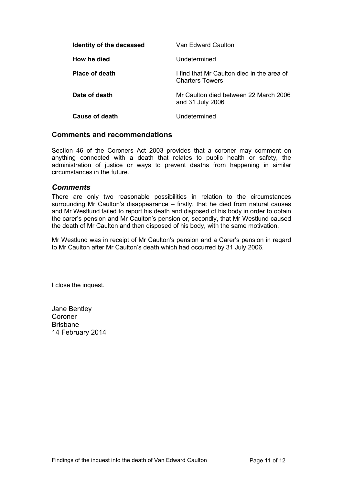<span id="page-11-2"></span><span id="page-11-1"></span><span id="page-11-0"></span>

| Identity of the deceased | Van Edward Caulton                                                   |
|--------------------------|----------------------------------------------------------------------|
| How he died              | Undetermined                                                         |
| <b>Place of death</b>    | I find that Mr Caulton died in the area of<br><b>Charters Towers</b> |
| Date of death            | Mr Caulton died between 22 March 2006<br>and 31 July 2006            |
| Cause of death           | Undetermined                                                         |

#### <span id="page-11-5"></span><span id="page-11-4"></span><span id="page-11-3"></span>**Comments and recommendations**

Section 46 of the Coroners Act 2003 provides that a coroner may comment on anything connected with a death that relates to public health or safety, the administration of justice or ways to prevent deaths from happening in similar circumstances in the future.

#### <span id="page-11-6"></span>*Comments*

There are only two reasonable possibilities in relation to the circumstances surrounding Mr Caulton's disappearance – firstly, that he died from natural causes and Mr Westlund failed to report his death and disposed of his body in order to obtain the carer's pension and Mr Caulton's pension or, secondly, that Mr Westlund caused the death of Mr Caulton and then disposed of his body, with the same motivation.

Mr Westlund was in receipt of Mr Caulton's pension and a Carer's pension in regard to Mr Caulton after Mr Caulton's death which had occurred by 31 July 2006.

I close the inquest.

Jane Bentley Coroner Brisbane 14 February 2014